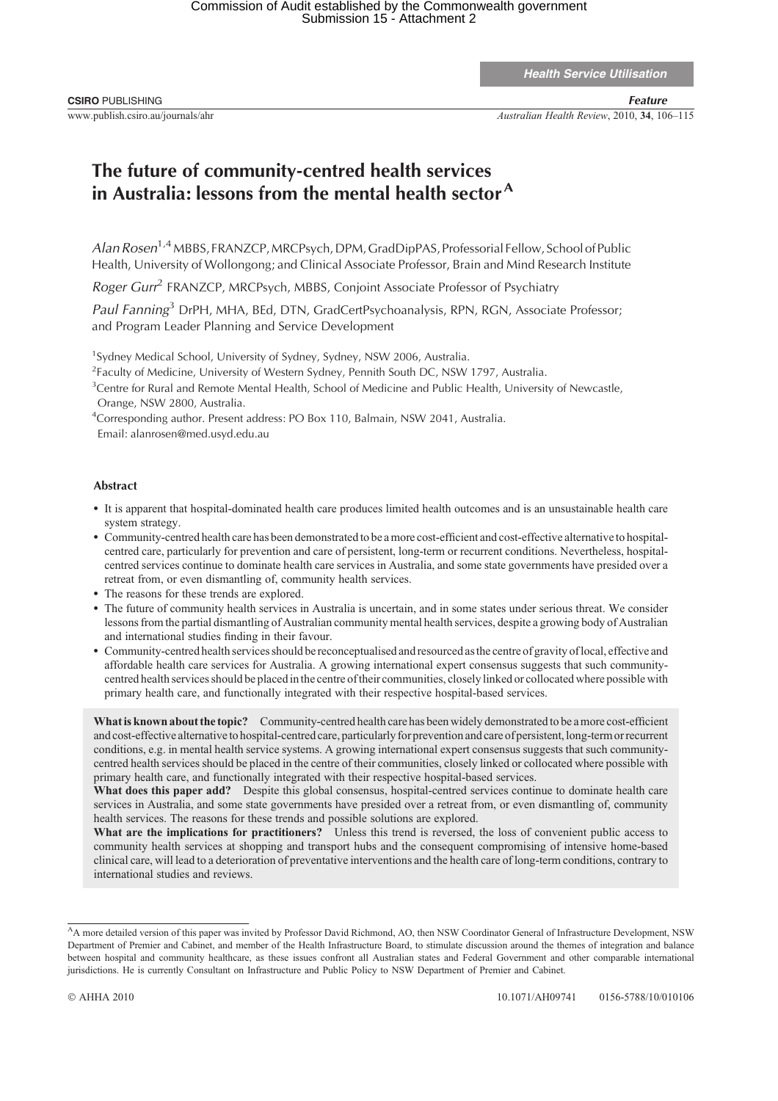Health Service Utilisation

www.publish.csiro.au/journals/ahr *Australian Health Review*, 2010, **34**, 106–115

## **The future of community-centred health services in Australia: lessons from the mental health sector<sup>A</sup>**

*Alan Rosen*1,4 MBBS, FRANZCP,MRCPsych, DPM, GradDipPAS, Professorial Fellow, School of Public Health, University of Wollongong; and Clinical Associate Professor, Brain and Mind Research Institute

*Roger Gurr*<sup>2</sup> FRANZCP, MRCPsych, MBBS, Conjoint Associate Professor of Psychiatry

*Paul Fanning*<sup>3</sup> DrPH, MHA, BEd, DTN, GradCertPsychoanalysis, RPN, RGN, Associate Professor; and Program Leader Planning and Service Development

<sup>1</sup>Sydney Medical School, University of Sydney, Sydney, NSW 2006, Australia.

<sup>2</sup> Faculty of Medicine, University of Western Sydney, Pennith South DC, NSW 1797, Australia.

<sup>3</sup>Centre for Rural and Remote Mental Health, School of Medicine and Public Health, University of Newcastle, Orange, NSW 2800, Australia.

<sup>4</sup>Corresponding author. Present address: PO Box 110, Balmain, NSW 2041, Australia.

Email: alanrosen@med.usyd.edu.au

## **Abstract**

- \* It is apparent that hospital-dominated health care produces limited health outcomes and is an unsustainable health care system strategy.
- \* Community-centred health care has been demonstrated to be a more cost-efficient and cost-effective alternative to hospitalcentred care, particularly for prevention and care of persistent, long-term or recurrent conditions. Nevertheless, hospitalcentred services continue to dominate health care services in Australia, and some state governments have presided over a retreat from, or even dismantling of, community health services.
- \* The reasons for these trends are explored.
- \* The future of community health services in Australia is uncertain, and in some states under serious threat. We consider lessons from the partial dismantling of Australian community mental health services, despite a growing body of Australian and international studies finding in their favour.
- \* Community-centred health services should be reconceptualised and resourced asthe centre of gravity of local, effective and affordable health care services for Australia. A growing international expert consensus suggests that such communitycentred health services should be placed in the centre of their communities, closely linked or collocated where possible with primary health care, and functionally integrated with their respective hospital-based services.

**What is known about the topic?** Community-centred health care has been widely demonstrated to be a more cost-efficient and cost-effective alternative to hospital-centred care, particularly for prevention and care of persistent,long-term or recurrent conditions, e.g. in mental health service systems. A growing international expert consensus suggests that such communitycentred health services should be placed in the centre of their communities, closely linked or collocated where possible with primary health care, and functionally integrated with their respective hospital-based services.

**What does this paper add?** Despite this global consensus, hospital-centred services continue to dominate health care services in Australia, and some state governments have presided over a retreat from, or even dismantling of, community health services. The reasons for these trends and possible solutions are explored.

**What are the implications for practitioners?** Unless this trend is reversed, the loss of convenient public access to community health services at shopping and transport hubs and the consequent compromising of intensive home-based clinical care, will lead to a deterioration of preventative interventions and the health care of long-term conditions, contrary to international studies and reviews.

<sup>&</sup>lt;sup>A</sup>A more detailed version of this paper was invited by Professor David Richmond, AO, then NSW Coordinator General of Infrastructure Development, NSW Department of Premier and Cabinet, and member of the Health Infrastructure Board, to stimulate discussion around the themes of integration and balance between hospital and community healthcare, as these issues confront all Australian states and Federal Government and other comparable international jurisdictions. He is currently Consultant on Infrastructure and Public Policy to NSW Department of Premier and Cabinet.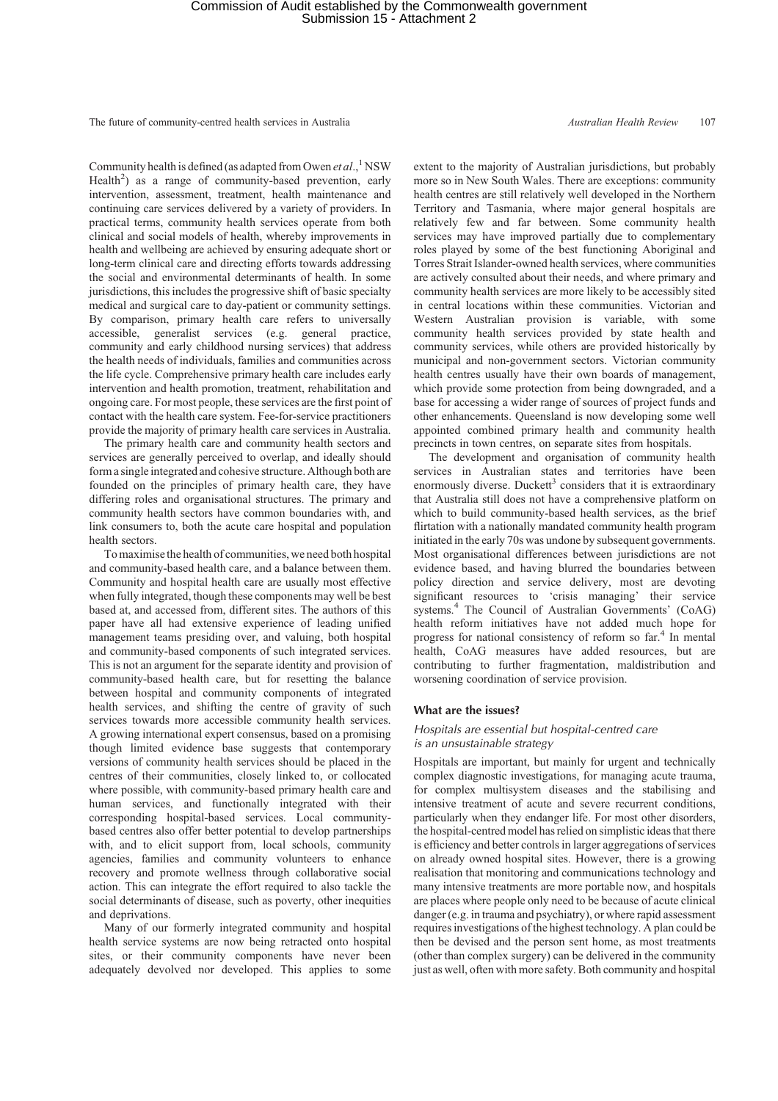Community health is defined (as adapted from Owen *et al.*,<sup>1</sup>NSW Health<sup>2</sup>) as a range of community-based prevention, early intervention, assessment, treatment, health maintenance and continuing care services delivered by a variety of providers. In practical terms, community health services operate from both clinical and social models of health, whereby improvements in health and wellbeing are achieved by ensuring adequate short or long-term clinical care and directing efforts towards addressing the social and environmental determinants of health. In some jurisdictions, this includes the progressive shift of basic specialty medical and surgical care to day-patient or community settings. By comparison, primary health care refers to universally accessible, generalist services (e.g. general practice, community and early childhood nursing services) that address the health needs of individuals, families and communities across the life cycle. Comprehensive primary health care includes early intervention and health promotion, treatment, rehabilitation and ongoing care. For most people, these services are the first point of contact with the health care system. Fee-for-service practitioners provide the majority of primary health care services in Australia.

The primary health care and community health sectors and services are generally perceived to overlap, and ideally should form a single integrated and cohesive structure. Although both are founded on the principles of primary health care, they have differing roles and organisational structures. The primary and community health sectors have common boundaries with, and link consumers to, both the acute care hospital and population health sectors.

To maximise the health of communities, we need both hospital and community-based health care, and a balance between them. Community and hospital health care are usually most effective when fully integrated, though these components may well be best based at, and accessed from, different sites. The authors of this paper have all had extensive experience of leading unified management teams presiding over, and valuing, both hospital and community-based components of such integrated services. This is not an argument for the separate identity and provision of community-based health care, but for resetting the balance between hospital and community components of integrated health services, and shifting the centre of gravity of such services towards more accessible community health services. A growing international expert consensus, based on a promising though limited evidence base suggests that contemporary versions of community health services should be placed in the centres of their communities, closely linked to, or collocated where possible, with community-based primary health care and human services, and functionally integrated with their corresponding hospital-based services. Local communitybased centres also offer better potential to develop partnerships with, and to elicit support from, local schools, community agencies, families and community volunteers to enhance recovery and promote wellness through collaborative social action. This can integrate the effort required to also tackle the social determinants of disease, such as poverty, other inequities and deprivations.

Many of our formerly integrated community and hospital health service systems are now being retracted onto hospital sites, or their community components have never been adequately devolved nor developed. This applies to some extent to the majority of Australian jurisdictions, but probably more so in New South Wales. There are exceptions: community health centres are still relatively well developed in the Northern Territory and Tasmania, where major general hospitals are relatively few and far between. Some community health services may have improved partially due to complementary roles played by some of the best functioning Aboriginal and Torres Strait Islander-owned health services, where communities are actively consulted about their needs, and where primary and community health services are more likely to be accessibly sited in central locations within these communities. Victorian and Western Australian provision is variable, with some community health services provided by state health and community services, while others are provided historically by municipal and non-government sectors. Victorian community health centres usually have their own boards of management, which provide some protection from being downgraded, and a base for accessing a wider range of sources of project funds and other enhancements. Queensland is now developing some well appointed combined primary health and community health precincts in town centres, on separate sites from hospitals.

The development and organisation of community health services in Australian states and territories have been enormously diverse. Duckett<sup>3</sup> considers that it is extraordinary that Australia still does not have a comprehensive platform on which to build community-based health services, as the brief flirtation with a nationally mandated community health program initiated in the early 70s was undone by subsequent governments. Most organisational differences between jurisdictions are not evidence based, and having blurred the boundaries between policy direction and service delivery, most are devoting significant resources to 'crisis managing' their service systems.<sup>4</sup> The Council of Australian Governments' (CoAG) health reform initiatives have not added much hope for progress for national consistency of reform so far.4 In mental health, CoAG measures have added resources, but are contributing to further fragmentation, maldistribution and worsening coordination of service provision.

## **What are the issues?**

## *Hospitals are essential but hospital-centred care is an unsustainable strategy*

Hospitals are important, but mainly for urgent and technically complex diagnostic investigations, for managing acute trauma, for complex multisystem diseases and the stabilising and intensive treatment of acute and severe recurrent conditions, particularly when they endanger life. For most other disorders, the hospital-centred model has relied on simplistic ideas that there is efficiency and better controls in larger aggregations of services on already owned hospital sites. However, there is a growing realisation that monitoring and communications technology and many intensive treatments are more portable now, and hospitals are places where people only need to be because of acute clinical danger (e.g. in trauma and psychiatry), or where rapid assessment requires investigations of the highest technology. A plan could be then be devised and the person sent home, as most treatments (other than complex surgery) can be delivered in the community just as well, often with more safety. Both community and hospital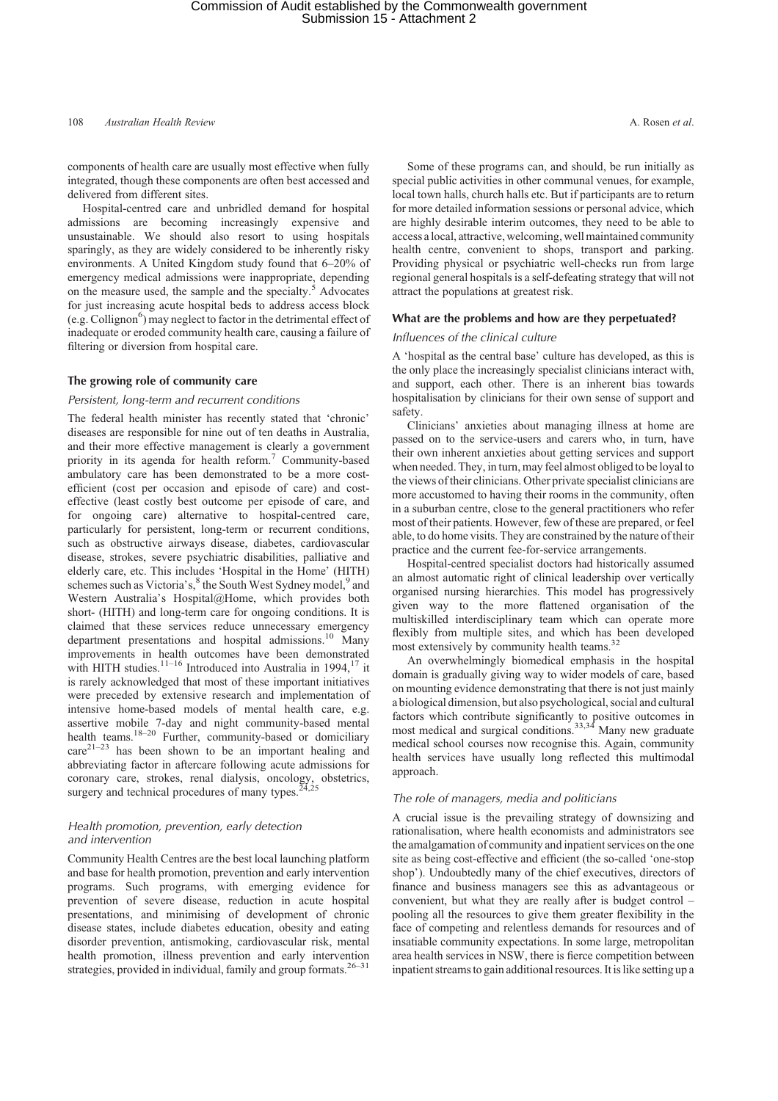108 *Australian Health Review* A. Rosen *et al*.

components of health care are usually most effective when fully integrated, though these components are often best accessed and delivered from different sites.

Hospital-centred care and unbridled demand for hospital admissions are becoming increasingly expensive and unsustainable. We should also resort to using hospitals sparingly, as they are widely considered to be inherently risky environments. A United Kingdom study found that 6–20% of emergency medical admissions were inappropriate, depending on the measure used, the sample and the specialty.<sup>5</sup> Advocates for just increasing acute hospital beds to address access block (e.g. Collignon<sup>6</sup>) may neglect to factor in the detrimental effect of inadequate or eroded community health care, causing a failure of filtering or diversion from hospital care.

## **The growing role of community care**

## *Persistent, long-term and recurrent conditions*

The federal health minister has recently stated that 'chronic' diseases are responsible for nine out of ten deaths in Australia, and their more effective management is clearly a government priority in its agenda for health reform.<sup>7</sup> Community-based ambulatory care has been demonstrated to be a more costefficient (cost per occasion and episode of care) and costeffective (least costly best outcome per episode of care, and for ongoing care) alternative to hospital-centred care, particularly for persistent, long-term or recurrent conditions, such as obstructive airways disease, diabetes, cardiovascular disease, strokes, severe psychiatric disabilities, palliative and elderly care, etc. This includes 'Hospital in the Home' (HITH) schemes such as Victoria's,<sup>8</sup> the South West Sydney model,<sup>9</sup> and Western Australia's Hospital@Home, which provides both short- (HITH) and long-term care for ongoing conditions. It is claimed that these services reduce unnecessary emergency department presentations and hospital admissions.<sup>10</sup> Many improvements in health outcomes have been demonstrated with HITH studies. $11-16$  Introduced into Australia in 1994, $17$  it is rarely acknowledged that most of these important initiatives were preceded by extensive research and implementation of intensive home-based models of mental health care, e.g. assertive mobile 7-day and night community-based mental health teams.<sup>18–20</sup> Further, community-based or domiciliary  $care<sup>21-23</sup>$  has been shown to be an important healing and abbreviating factor in aftercare following acute admissions for coronary care, strokes, renal dialysis, oncology, obstetrics, surgery and technical procedures of many types.<sup>2</sup>

## *Health promotion, prevention, early detection and intervention*

Community Health Centres are the best local launching platform and base for health promotion, prevention and early intervention programs. Such programs, with emerging evidence for prevention of severe disease, reduction in acute hospital presentations, and minimising of development of chronic disease states, include diabetes education, obesity and eating disorder prevention, antismoking, cardiovascular risk, mental health promotion, illness prevention and early intervention strategies, provided in individual, family and group formats.  $26-31$ 

Some of these programs can, and should, be run initially as special public activities in other communal venues, for example, local town halls, church halls etc. But if participants are to return for more detailed information sessions or personal advice, which are highly desirable interim outcomes, they need to be able to access a local, attractive, welcoming, well maintained community health centre, convenient to shops, transport and parking. Providing physical or psychiatric well-checks run from large regional general hospitals is a self-defeating strategy that will not attract the populations at greatest risk.

#### **What are the problems and how are they perpetuated?**

## *Influences of the clinical culture*

A 'hospital as the central base' culture has developed, as this is the only place the increasingly specialist clinicians interact with, and support, each other. There is an inherent bias towards hospitalisation by clinicians for their own sense of support and safety.

Clinicians' anxieties about managing illness at home are passed on to the service-users and carers who, in turn, have their own inherent anxieties about getting services and support when needed. They, in turn, may feel almost obliged to be loyal to the views of their clinicians. Other private specialist clinicians are more accustomed to having their rooms in the community, often in a suburban centre, close to the general practitioners who refer most of their patients. However, few of these are prepared, or feel able, to do home visits. They are constrained by the nature of their practice and the current fee-for-service arrangements.

Hospital-centred specialist doctors had historically assumed an almost automatic right of clinical leadership over vertically organised nursing hierarchies. This model has progressively given way to the more flattened organisation of the multiskilled interdisciplinary team which can operate more flexibly from multiple sites, and which has been developed most extensively by community health teams.<sup>32</sup>

An overwhelmingly biomedical emphasis in the hospital domain is gradually giving way to wider models of care, based on mounting evidence demonstrating that there is not just mainly a biological dimension, but also psychological, social and cultural factors which contribute significantly to positive outcomes in most medical and surgical conditions.<sup>33,34</sup> Many new graduate medical school courses now recognise this. Again, community health services have usually long reflected this multimodal approach.

#### *The role of managers, media and politicians*

A crucial issue is the prevailing strategy of downsizing and rationalisation, where health economists and administrators see the amalgamation of community and inpatient services on the one site as being cost-effective and efficient (the so-called 'one-stop shop'). Undoubtedly many of the chief executives, directors of finance and business managers see this as advantageous or convenient, but what they are really after is budget control – pooling all the resources to give them greater flexibility in the face of competing and relentless demands for resources and of insatiable community expectations. In some large, metropolitan area health services in NSW, there is fierce competition between inpatient streams to gain additional resources. It is like setting up a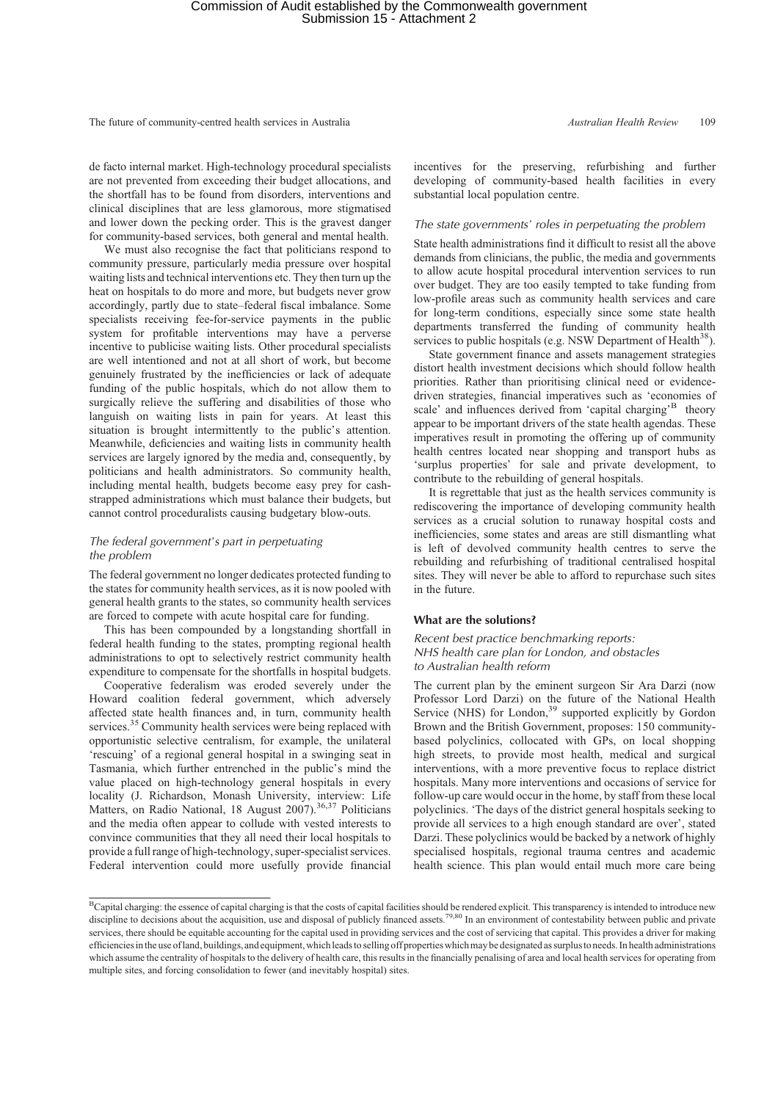de facto internal market. High-technology procedural specialists are not prevented from exceeding their budget allocations, and the shortfall has to be found from disorders, interventions and clinical disciplines that are less glamorous, more stigmatised and lower down the pecking order. This is the gravest danger for community-based services, both general and mental health.

We must also recognise the fact that politicians respond to community pressure, particularly media pressure over hospital waiting lists and technical interventions etc. They then turn up the heat on hospitals to do more and more, but budgets never grow accordingly, partly due to state–federal fiscal imbalance. Some specialists receiving fee-for-service payments in the public system for profitable interventions may have a perverse incentive to publicise waiting lists. Other procedural specialists are well intentioned and not at all short of work, but become genuinely frustrated by the inefficiencies or lack of adequate funding of the public hospitals, which do not allow them to surgically relieve the suffering and disabilities of those who languish on waiting lists in pain for years. At least this situation is brought intermittently to the public's attention. Meanwhile, deficiencies and waiting lists in community health services are largely ignored by the media and, consequently, by politicians and health administrators. So community health, including mental health, budgets become easy prey for cashstrapped administrations which must balance their budgets, but cannot control proceduralists causing budgetary blow-outs.

## *The federal government*'*s part in perpetuating the problem*

The federal government no longer dedicates protected funding to the states for community health services, as it is now pooled with general health grants to the states, so community health services are forced to compete with acute hospital care for funding.

This has been compounded by a longstanding shortfall in federal health funding to the states, prompting regional health administrations to opt to selectively restrict community health expenditure to compensate for the shortfalls in hospital budgets.

Cooperative federalism was eroded severely under the Howard coalition federal government, which adversely affected state health finances and, in turn, community health services.<sup>35</sup> Community health services were being replaced with opportunistic selective centralism, for example, the unilateral 'rescuing' of a regional general hospital in a swinging seat in Tasmania, which further entrenched in the public's mind the value placed on high-technology general hospitals in every locality (J. Richardson, Monash University, interview: Life Matters, on Radio National, 18 August  $2007$ ).<sup>36,37</sup> Politicians and the media often appear to collude with vested interests to convince communities that they all need their local hospitals to provide a full range of high-technology, super-specialist services. Federal intervention could more usefully provide financial

incentives for the preserving, refurbishing and further developing of community-based health facilities in every substantial local population centre.

#### *The state governments*' *roles in perpetuating the problem*

State health administrations find it difficult to resist all the above demands from clinicians, the public, the media and governments to allow acute hospital procedural intervention services to run over budget. They are too easily tempted to take funding from low-profile areas such as community health services and care for long-term conditions, especially since some state health departments transferred the funding of community health services to public hospitals (e.g. NSW Department of Health<sup>38</sup>).

State government finance and assets management strategies distort health investment decisions which should follow health priorities. Rather than prioritising clinical need or evidencedriven strategies, financial imperatives such as 'economies of scale' and influences derived from 'capital charging'<sup>B</sup> theory appear to be important drivers of the state health agendas. These imperatives result in promoting the offering up of community health centres located near shopping and transport hubs as 'surplus properties' for sale and private development, to contribute to the rebuilding of general hospitals.

It is regrettable that just as the health services community is rediscovering the importance of developing community health services as a crucial solution to runaway hospital costs and inefficiencies, some states and areas are still dismantling what is left of devolved community health centres to serve the rebuilding and refurbishing of traditional centralised hospital sites. They will never be able to afford to repurchase such sites in the future.

## **What are the solutions?**

## *Recent best practice benchmarking reports: NHS health care plan for London, and obstacles to Australian health reform*

The current plan by the eminent surgeon Sir Ara Darzi (now Professor Lord Darzi) on the future of the National Health Service (NHS) for London,<sup>39</sup> supported explicitly by Gordon Brown and the British Government, proposes: 150 communitybased polyclinics, collocated with GPs, on local shopping high streets, to provide most health, medical and surgical interventions, with a more preventive focus to replace district hospitals. Many more interventions and occasions of service for follow-up care would occur in the home, by staff from these local polyclinics. 'The days of the district general hospitals seeking to provide all services to a high enough standard are over', stated Darzi. These polyclinics would be backed by a network of highly specialised hospitals, regional trauma centres and academic health science. This plan would entail much more care being

<sup>&</sup>lt;sup>B</sup>Capital charging: the essence of capital charging is that the costs of capital facilities should be rendered explicit. This transparency is intended to introduce new discipline to decisions about the acquisition, use and disposal of publicly financed assets.<sup>79,80</sup> In an environment of contestability between public and private services, there should be equitable accounting for the capital used in providing services and the cost of servicing that capital. This provides a driver for making efficienciesinthe use of land, buildings, and equipment, whichleads to selling off properties which may be designated as surplusto needs. In health administrations which assume the centrality of hospitals to the delivery of health care, this results in the financially penalising of area and local health services for operating from multiple sites, and forcing consolidation to fewer (and inevitably hospital) sites.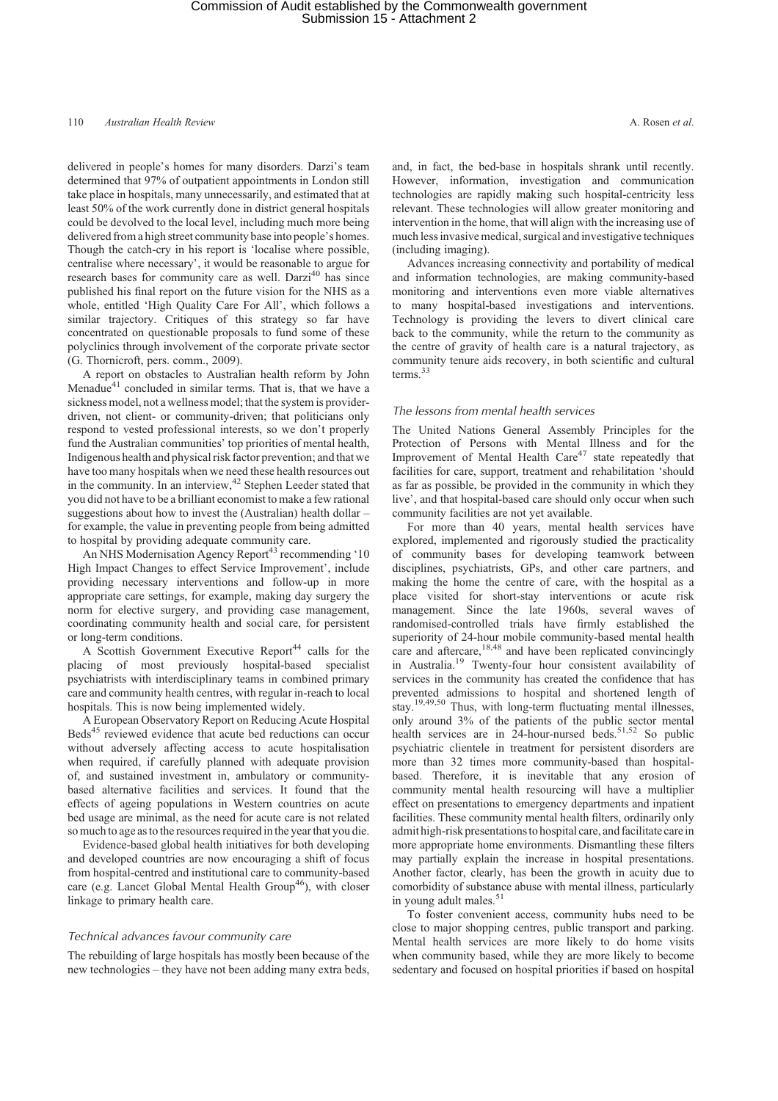delivered in people's homes for many disorders. Darzi's team determined that 97% of outpatient appointments in London still take place in hospitals, many unnecessarily, and estimated that at least 50% of the work currently done in district general hospitals could be devolved to the local level, including much more being delivered from a high street community base into people's homes. Though the catch-cry in his report is 'localise where possible, centralise where necessary', it would be reasonable to argue for research bases for community care as well. Darzi<sup>40</sup> has since published his final report on the future vision for the NHS as a whole, entitled 'High Quality Care For All', which follows a similar trajectory. Critiques of this strategy so far have concentrated on questionable proposals to fund some of these polyclinics through involvement of the corporate private sector (G. Thornicroft, pers. comm., 2009).

A report on obstacles to Australian health reform by John Menadue $41$  concluded in similar terms. That is, that we have a sickness model, not a wellness model; that the system is providerdriven, not client- or community-driven; that politicians only respond to vested professional interests, so we don't properly fund the Australian communities' top priorities of mental health, Indigenous health and physical risk factor prevention; and that we have too many hospitals when we need these health resources out in the community. In an interview, $4<sup>2</sup>$  Stephen Leeder stated that you did not have to be a brilliant economist to make a few rational suggestions about how to invest the (Australian) health dollar – for example, the value in preventing people from being admitted to hospital by providing adequate community care.

An NHS Modernisation Agency Report<sup>43</sup> recommending '10 High Impact Changes to effect Service Improvement', include providing necessary interventions and follow-up in more appropriate care settings, for example, making day surgery the norm for elective surgery, and providing case management, coordinating community health and social care, for persistent or long-term conditions.

A Scottish Government Executive Report<sup>44</sup> calls for the placing of most previously hospital-based specialist psychiatrists with interdisciplinary teams in combined primary care and community health centres, with regular in-reach to local hospitals. This is now being implemented widely.

A European Observatory Report on Reducing Acute Hospital Beds<sup>45</sup> reviewed evidence that acute bed reductions can occur without adversely affecting access to acute hospitalisation when required, if carefully planned with adequate provision of, and sustained investment in, ambulatory or communitybased alternative facilities and services. It found that the effects of ageing populations in Western countries on acute bed usage are minimal, as the need for acute care is not related so much to age as to the resources required in the year that you die.

Evidence-based global health initiatives for both developing and developed countries are now encouraging a shift of focus from hospital-centred and institutional care to community-based care (e.g. Lancet Global Mental Health Group<sup>46</sup>), with closer linkage to primary health care.

## *Technical advances favour community care*

The rebuilding of large hospitals has mostly been because of the new technologies – they have not been adding many extra beds,

and, in fact, the bed-base in hospitals shrank until recently. However, information, investigation and communication technologies are rapidly making such hospital-centricity less relevant. These technologies will allow greater monitoring and intervention in the home, that will align with the increasing use of much less invasive medical, surgical and investigative techniques (including imaging).

Advances increasing connectivity and portability of medical and information technologies, are making community-based monitoring and interventions even more viable alternatives to many hospital-based investigations and interventions. Technology is providing the levers to divert clinical care back to the community, while the return to the community as the centre of gravity of health care is a natural trajectory, as community tenure aids recovery, in both scientific and cultural terms.<sup>33</sup>

#### *The lessons from mental health services*

The United Nations General Assembly Principles for the Protection of Persons with Mental Illness and for the Improvement of Mental Health Care<sup>47</sup> state repeatedly that facilities for care, support, treatment and rehabilitation 'should as far as possible, be provided in the community in which they live', and that hospital-based care should only occur when such community facilities are not yet available.

For more than 40 years, mental health services have explored, implemented and rigorously studied the practicality of community bases for developing teamwork between disciplines, psychiatrists, GPs, and other care partners, and making the home the centre of care, with the hospital as a place visited for short-stay interventions or acute risk management. Since the late 1960s, several waves of randomised-controlled trials have firmly established the superiority of 24-hour mobile community-based mental health care and aftercare,  $18,48$  and have been replicated convincingly in Australia.<sup>19</sup> Twenty-four hour consistent availability of services in the community has created the confidence that has prevented admissions to hospital and shortened length of stay.<sup>19,49,50</sup> Thus, with long-term fluctuating mental illnesses, only around 3% of the patients of the public sector mental health services are in 24-hour-nursed beds.<sup>51,52</sup> So public psychiatric clientele in treatment for persistent disorders are more than 32 times more community-based than hospitalbased. Therefore, it is inevitable that any erosion of community mental health resourcing will have a multiplier effect on presentations to emergency departments and inpatient facilities. These community mental health filters, ordinarily only admit high-risk presentationsto hospital care, and facilitate carein more appropriate home environments. Dismantling these filters may partially explain the increase in hospital presentations. Another factor, clearly, has been the growth in acuity due to comorbidity of substance abuse with mental illness, particularly in young adult males.<sup>51</sup>

To foster convenient access, community hubs need to be close to major shopping centres, public transport and parking. Mental health services are more likely to do home visits when community based, while they are more likely to become sedentary and focused on hospital priorities if based on hospital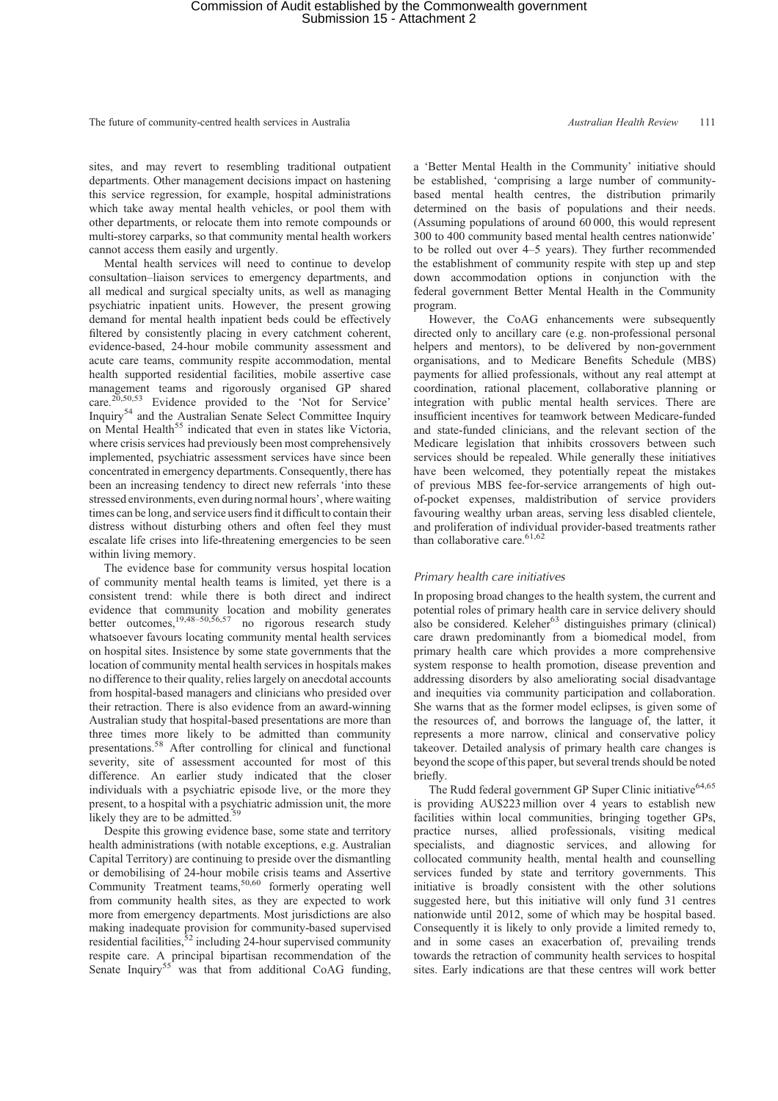sites, and may revert to resembling traditional outpatient departments. Other management decisions impact on hastening this service regression, for example, hospital administrations which take away mental health vehicles, or pool them with other departments, or relocate them into remote compounds or multi-storey carparks, so that community mental health workers cannot access them easily and urgently.

Mental health services will need to continue to develop consultation–liaison services to emergency departments, and all medical and surgical specialty units, as well as managing psychiatric inpatient units. However, the present growing demand for mental health inpatient beds could be effectively filtered by consistently placing in every catchment coherent, evidence-based, 24-hour mobile community assessment and acute care teams, community respite accommodation, mental health supported residential facilities, mobile assertive case management teams and rigorously organised GP shared care.<sup>20,50,53</sup> Evidence provided to the 'Not for Service' Inquiry<sup>54</sup> and the Australian Senate Select Committee Inquiry on Mental Health<sup>55</sup> indicated that even in states like Victoria, where crisis services had previously been most comprehensively implemented, psychiatric assessment services have since been concentrated in emergency departments. Consequently, there has been an increasing tendency to direct new referrals 'into these stressed environments, even during normal hours', where waiting times can be long, and service users find it difficult to contain their distress without disturbing others and often feel they must escalate life crises into life-threatening emergencies to be seen within living memory.

The evidence base for community versus hospital location of community mental health teams is limited, yet there is a consistent trend: while there is both direct and indirect evidence that community location and mobility generates better outcomes,  $19,48-50,56,57$  no rigorous research study whatsoever favours locating community mental health services on hospital sites. Insistence by some state governments that the location of community mental health services in hospitals makes no difference to their quality, relies largely on anecdotal accounts from hospital-based managers and clinicians who presided over their retraction. There is also evidence from an award-winning Australian study that hospital-based presentations are more than three times more likely to be admitted than community presentations.<sup>58</sup> After controlling for clinical and functional severity, site of assessment accounted for most of this difference. An earlier study indicated that the closer individuals with a psychiatric episode live, or the more they present, to a hospital with a psychiatric admission unit, the more likely they are to be admitted.

Despite this growing evidence base, some state and territory health administrations (with notable exceptions, e.g. Australian Capital Territory) are continuing to preside over the dismantling or demobilising of 24-hour mobile crisis teams and Assertive Community Treatment teams,<sup>50,60</sup> formerly operating well from community health sites, as they are expected to work more from emergency departments. Most jurisdictions are also making inadequate provision for community-based supervised residential facilities,  $52$  including 24-hour supervised community respite care. A principal bipartisan recommendation of the Senate Inquiry<sup>55</sup> was that from additional CoAG funding,

a 'Better Mental Health in the Community' initiative should be established, 'comprising a large number of communitybased mental health centres, the distribution primarily determined on the basis of populations and their needs. (Assuming populations of around 60 000, this would represent 300 to 400 community based mental health centres nationwide' to be rolled out over 4–5 years). They further recommended the establishment of community respite with step up and step down accommodation options in conjunction with the federal government Better Mental Health in the Community program.

However, the CoAG enhancements were subsequently directed only to ancillary care (e.g. non-professional personal helpers and mentors), to be delivered by non-government organisations, and to Medicare Benefits Schedule (MBS) payments for allied professionals, without any real attempt at coordination, rational placement, collaborative planning or integration with public mental health services. There are insufficient incentives for teamwork between Medicare-funded and state-funded clinicians, and the relevant section of the Medicare legislation that inhibits crossovers between such services should be repealed. While generally these initiatives have been welcomed, they potentially repeat the mistakes of previous MBS fee-for-service arrangements of high outof-pocket expenses, maldistribution of service providers favouring wealthy urban areas, serving less disabled clientele, and proliferation of individual provider-based treatments rather than collaborative care.  $61,62$ 

## *Primary health care initiatives*

In proposing broad changes to the health system, the current and potential roles of primary health care in service delivery should also be considered. Keleher<sup>63</sup> distinguishes primary (clinical) care drawn predominantly from a biomedical model, from primary health care which provides a more comprehensive system response to health promotion, disease prevention and addressing disorders by also ameliorating social disadvantage and inequities via community participation and collaboration. She warns that as the former model eclipses, is given some of the resources of, and borrows the language of, the latter, it represents a more narrow, clinical and conservative policy takeover. Detailed analysis of primary health care changes is beyond the scope of this paper, but several trends should be noted briefly.

The Rudd federal government GP Super Clinic initiative $64,65$ is providing AU\$223 million over 4 years to establish new facilities within local communities, bringing together GPs, practice nurses, allied professionals, visiting medical specialists, and diagnostic services, and allowing for collocated community health, mental health and counselling services funded by state and territory governments. This initiative is broadly consistent with the other solutions suggested here, but this initiative will only fund 31 centres nationwide until 2012, some of which may be hospital based. Consequently it is likely to only provide a limited remedy to, and in some cases an exacerbation of, prevailing trends towards the retraction of community health services to hospital sites. Early indications are that these centres will work better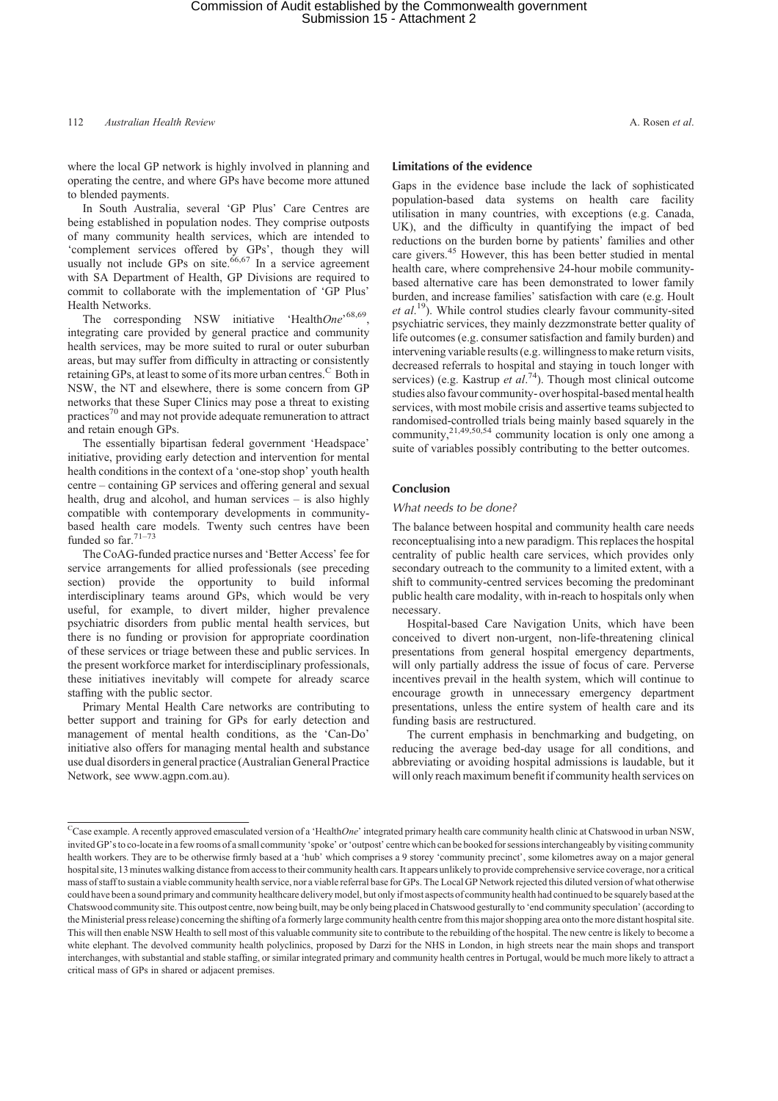where the local GP network is highly involved in planning and operating the centre, and where GPs have become more attuned to blended payments.

In South Australia, several 'GP Plus' Care Centres are being established in population nodes. They comprise outposts of many community health services, which are intended to 'complement services offered by GPs', though they will usually not include GPs on site. $66,67$  In a service agreement with SA Department of Health, GP Divisions are required to commit to collaborate with the implementation of 'GP Plus' Health Networks.

The corresponding NSW initiative 'Health*One*'<sup>68,69</sup>, integrating care provided by general practice and community health services, may be more suited to rural or outer suburban areas, but may suffer from difficulty in attracting or consistently retaining GPs, at least to some of its more urban centres.<sup>C</sup> Both in NSW, the NT and elsewhere, there is some concern from GP networks that these Super Clinics may pose a threat to existing practices<sup>70</sup> and may not provide adequate remuneration to attract and retain enough GPs.

The essentially bipartisan federal government 'Headspace' initiative, providing early detection and intervention for mental health conditions in the context of a 'one-stop shop' youth health centre – containing GP services and offering general and sexual health, drug and alcohol, and human services – is also highly compatible with contemporary developments in communitybased health care models. Twenty such centres have been funded so far.  $71-73$ 

The CoAG-funded practice nurses and 'Better Access' fee for service arrangements for allied professionals (see preceding section) provide the opportunity to build informal interdisciplinary teams around GPs, which would be very useful, for example, to divert milder, higher prevalence psychiatric disorders from public mental health services, but there is no funding or provision for appropriate coordination of these services or triage between these and public services. In the present workforce market for interdisciplinary professionals, these initiatives inevitably will compete for already scarce staffing with the public sector.

Primary Mental Health Care networks are contributing to better support and training for GPs for early detection and management of mental health conditions, as the 'Can-Do' initiative also offers for managing mental health and substance use dual disordersin general practice (Australian General Practice Network, see www.agpn.com.au).

## **Limitations of the evidence**

Gaps in the evidence base include the lack of sophisticated population-based data systems on health care facility utilisation in many countries, with exceptions (e.g. Canada, UK), and the difficulty in quantifying the impact of bed reductions on the burden borne by patients' families and other care givers.<sup>45</sup> However, this has been better studied in mental health care, where comprehensive 24-hour mobile communitybased alternative care has been demonstrated to lower family burden, and increase families' satisfaction with care (e.g. Hoult et al.<sup>19</sup>). While control studies clearly favour community-sited psychiatric services, they mainly dezzmonstrate better quality of life outcomes (e.g. consumer satisfaction and family burden) and intervening variable results (e.g. willingness to make return visits, decreased referrals to hospital and staying in touch longer with services) (e.g. Kastrup *et al.*<sup>74</sup>). Though most clinical outcome studies also favour community- over hospital-based mental health services, with most mobile crisis and assertive teams subjected to randomised-controlled trials being mainly based squarely in the community, $2^{1,49,50,54}$  community location is only one among a suite of variables possibly contributing to the better outcomes.

## **Conclusion**

## *What needs to be done?*

The balance between hospital and community health care needs reconceptualising into a new paradigm. This replaces the hospital centrality of public health care services, which provides only secondary outreach to the community to a limited extent, with a shift to community-centred services becoming the predominant public health care modality, with in-reach to hospitals only when necessary.

Hospital-based Care Navigation Units, which have been conceived to divert non-urgent, non-life-threatening clinical presentations from general hospital emergency departments, will only partially address the issue of focus of care. Perverse incentives prevail in the health system, which will continue to encourage growth in unnecessary emergency department presentations, unless the entire system of health care and its funding basis are restructured.

The current emphasis in benchmarking and budgeting, on reducing the average bed-day usage for all conditions, and abbreviating or avoiding hospital admissions is laudable, but it will only reach maximum benefit if community health services on

CCase example. A recently approved emasculated version of a 'Health*One*' integrated primary health care community health clinic at Chatswood in urban NSW, invited GP's to co-locatein a few rooms of a small community 'spoke' or'outpost' centre which can be booked for sessions interchangeably by visiting community health workers. They are to be otherwise firmly based at a 'hub' which comprises a 9 storey 'community precinct', some kilometres away on a major general hospital site, 13 minutes walking distance from access to their community health cars. It appears unlikely to provide comprehensive service coverage, nor a critical mass of staff to sustain a viable community health service, nor a viable referral base for GPs. The Local GP Network rejected this diluted version of what otherwise could have been a sound primary and community healthcare delivery model, but only if most aspects of community health had continued to be squarely based at the Chatswood community site. This outpost centre, now being built, may be only being placed in Chatswood gesturally to 'end community speculation'(according to the Ministerial press release) concerning the shifting of a formerly large community health centre from this major shopping area onto the more distant hospital site. This will then enable NSW Health to sell most of this valuable community site to contribute to the rebuilding of the hospital. The new centre is likely to become a white elephant. The devolved community health polyclinics, proposed by Darzi for the NHS in London, in high streets near the main shops and transport interchanges, with substantial and stable staffing, or similar integrated primary and community health centres in Portugal, would be much more likely to attract a critical mass of GPs in shared or adjacent premises.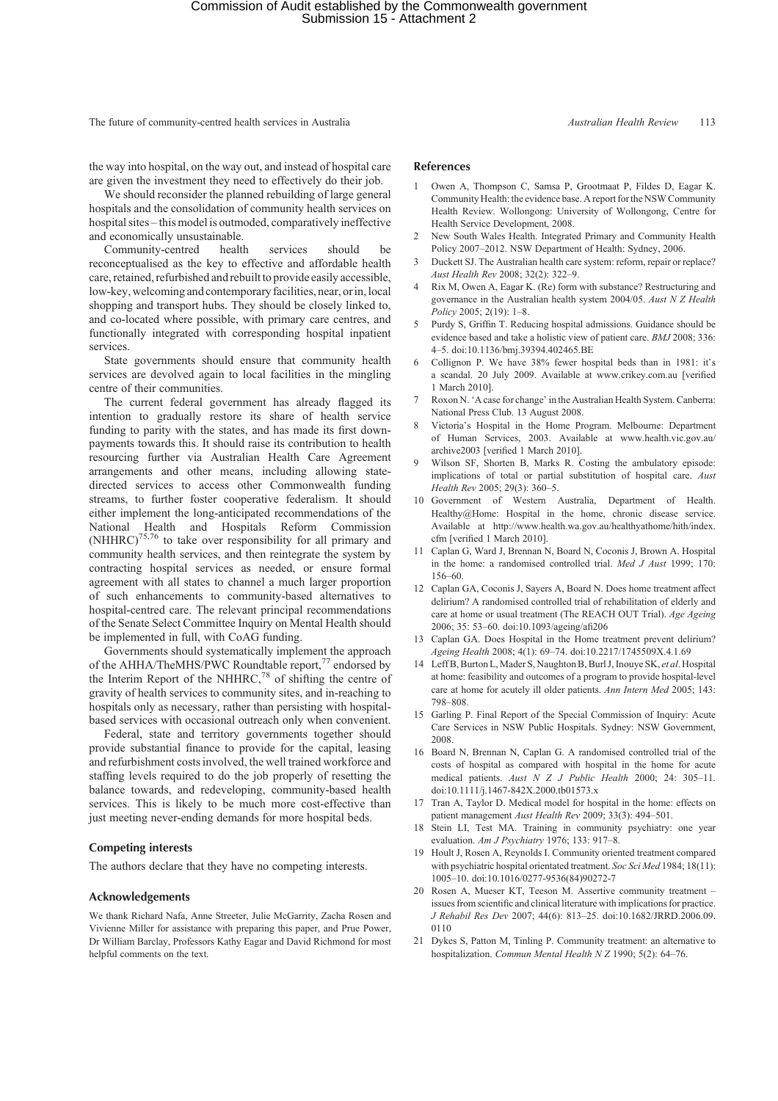the way into hospital, on the way out, and instead of hospital care are given the investment they need to effectively do their job.

We should reconsider the planned rebuilding of large general hospitals and the consolidation of community health services on hospital sites – this model is outmoded, comparatively ineffective and economically unsustainable.

Community-centred health services should be reconceptualised as the key to effective and affordable health care, retained, refurbished and rebuilt to provide easily accessible, low-key, welcoming and contemporary facilities, near, or in, local shopping and transport hubs. They should be closely linked to, and co-located where possible, with primary care centres, and functionally integrated with corresponding hospital inpatient services.

State governments should ensure that community health services are devolved again to local facilities in the mingling centre of their communities.

The current federal government has already flagged its intention to gradually restore its share of health service funding to parity with the states, and has made its first downpayments towards this. It should raise its contribution to health resourcing further via Australian Health Care Agreement arrangements and other means, including allowing statedirected services to access other Commonwealth funding streams, to further foster cooperative federalism. It should either implement the long-anticipated recommendations of the National Health and Hospitals Reform Commission  $(NHHRC)^{75,76}$  to take over responsibility for all primary and community health services, and then reintegrate the system by contracting hospital services as needed, or ensure formal agreement with all states to channel a much larger proportion of such enhancements to community-based alternatives to hospital-centred care. The relevant principal recommendations of the Senate Select Committee Inquiry on Mental Health should be implemented in full, with CoAG funding.

Governments should systematically implement the approach of the AHHA/TheMHS/PWC Roundtable report,<sup>77</sup> endorsed by the Interim Report of the NHHRC,<sup>78</sup> of shifting the centre of gravity of health services to community sites, and in-reaching to hospitals only as necessary, rather than persisting with hospitalbased services with occasional outreach only when convenient.

Federal, state and territory governments together should provide substantial finance to provide for the capital, leasing and refurbishment costs involved, the well trained workforce and staffing levels required to do the job properly of resetting the balance towards, and redeveloping, community-based health services. This is likely to be much more cost-effective than just meeting never-ending demands for more hospital beds.

## **Competing interests**

The authors declare that they have no competing interests.

#### **Acknowledgements**

We thank Richard Nafa, Anne Streeter, Julie McGarrity, Zacha Rosen and Vivienne Miller for assistance with preparing this paper, and Prue Power, Dr William Barclay, Professors Kathy Eagar and David Richmond for most helpful comments on the text.

## **References**

- 1 Owen A, Thompson C, Samsa P, Grootmaat P, Fildes D, Eagar K. Community Health: the evidence base. A report for the NSW Community Health Review. Wollongong: University of Wollongong, Centre for Health Service Development, 2008.
- 2 New South Wales Health. Integrated Primary and Community Health Policy 2007–2012. NSW Department of Health: Sydney, 2006.
- 3 Duckett SJ. The Australian health care system: reform, repair or replace? *Aust Health Rev* 2008; 32(2): 322–9.
- 4 Rix M, Owen A, Eagar K. (Re) form with substance? Restructuring and governance in the Australian health system 2004/05. *Aust N Z Health Policy* 2005; 2(19): 1–8.
- 5 Purdy S, Griffin T. Reducing hospital admissions. Guidance should be evidence based and take a holistic view of patient care. *BMJ* 2008; 336: 4–5. doi:10.1136/bmj.39394.402465.BE
- 6 Collignon P. We have 38% fewer hospital beds than in 1981: it's a scandal. 20 July 2009. Available at www.crikey.com.au [verified 1 March 2010].
- Roxon N. 'A case for change' in the Australian Health System. Canberra: National Press Club. 13 August 2008.
- 8 Victoria's Hospital in the Home Program. Melbourne: Department of Human Services, 2003. Available at www.health.vic.gov.au/ archive2003 [verified 1 March 2010].
- Wilson SF, Shorten B, Marks R. Costing the ambulatory episode: implications of total or partial substitution of hospital care. *Aust Health Rev* 2005; 29(3): 360–5.
- 10 Government of Western Australia, Department of Health. Healthy@Home: Hospital in the home, chronic disease service. Available at http://www.health.wa.gov.au/healthyathome/hith/index. cfm [verified 1 March 2010].
- 11 Caplan G, Ward J, Brennan N, Board N, Coconis J, Brown A. Hospital in the home: a randomised controlled trial. *Med J Aust* 1999; 170: 156–60.
- 12 Caplan GA, Coconis J, Sayers A, Board N. Does home treatment affect delirium? A randomised controlled trial of rehabilitation of elderly and care at home or usual treatment (The REACH OUT Trial). *Age Ageing* 2006; 35: 53–60. doi:10.1093/ageing/afi206
- 13 Caplan GA. Does Hospital in the Home treatment prevent delirium? *Ageing Health* 2008; 4(1): 69–74. doi:10.2217/1745509X.4.1.69
- 14 Leff B, Burton L, Mader S, Naughton B, Burl J, Inouye SK, *et al*. Hospital at home: feasibility and outcomes of a program to provide hospital-level care at home for acutely ill older patients. *Ann Intern Med* 2005; 143: 798–808.
- 15 Garling P. Final Report of the Special Commission of Inquiry: Acute Care Services in NSW Public Hospitals. Sydney: NSW Government, 2008.
- 16 Board N, Brennan N, Caplan G. A randomised controlled trial of the costs of hospital as compared with hospital in the home for acute medical patients. *Aust N Z J Public Health* 2000; 24: 305–11. doi:10.1111/j.1467-842X.2000.tb01573.x
- 17 Tran A, Taylor D. Medical model for hospital in the home: effects on patient management *Aust Health Rev* 2009; 33(3): 494–501.
- 18 Stein LI, Test MA. Training in community psychiatry: one year evaluation. *Am J Psychiatry* 1976; 133: 917–8.
- 19 Hoult J, Rosen A, Reynolds I. Community oriented treatment compared with psychiatric hospital orientated treatment. *Soc Sci Med* 1984; 18(11): 1005–10. doi:10.1016/0277-9536(84)90272-7
- 20 Rosen A, Mueser KT, Teeson M. Assertive community treatment issues from scientific and clinical literature with implications for practice. *J Rehabil Res Dev* 2007; 44(6): 813–25. doi:10.1682/JRRD.2006.09. 0110
- 21 Dykes S, Patton M, Tinling P. Community treatment: an alternative to hospitalization. *Commun Mental Health N Z* 1990; 5(2): 64–76.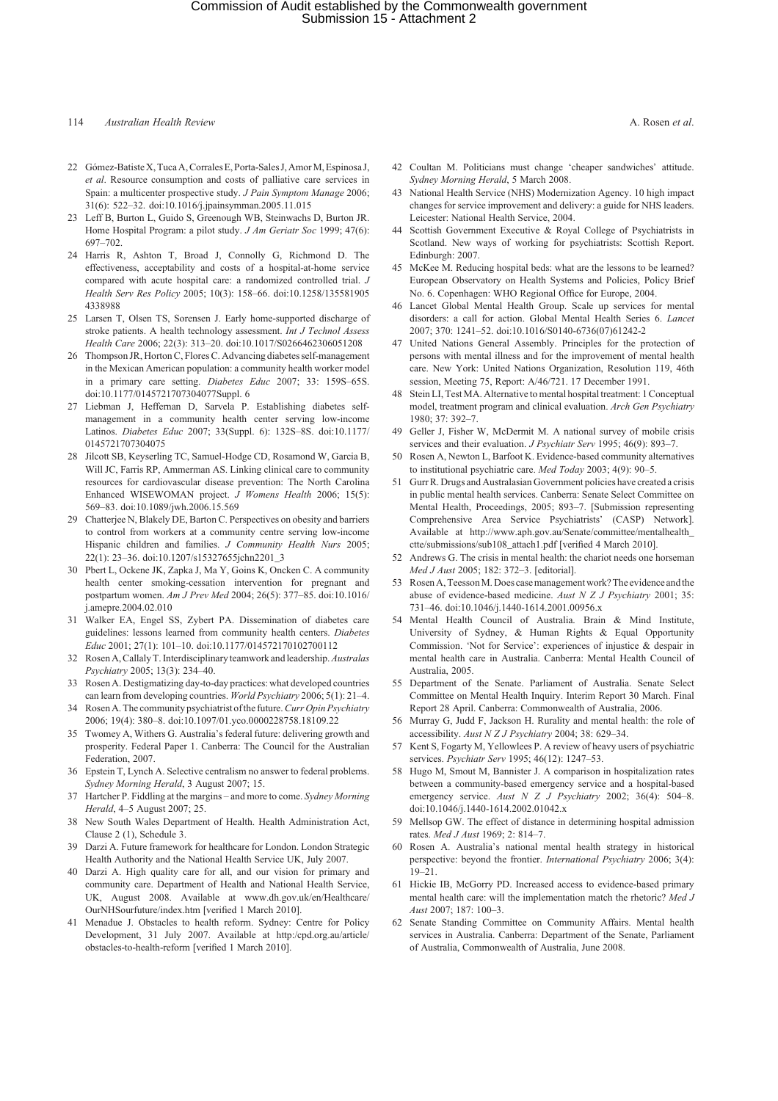# Commission of Audit established by the Commonwealth government Submission 15 - Attachment 2

## 114 *Australian Health Review* A. Rosen *et al*.

- 22 Gómez-Batiste X, Tuca A, Corrales E, Porta-Sales J, Amor M, Espinosa J, *et al*. Resource consumption and costs of palliative care services in Spain: a multicenter prospective study. *J Pain Symptom Manage* 2006; 31(6): 522–32. doi:10.1016/j.jpainsymman.2005.11.015
- 23 Leff B, Burton L, Guido S, Greenough WB, Steinwachs D, Burton JR. Home Hospital Program: a pilot study. *J Am Geriatr Soc* 1999; 47(6): 697–702.
- 24 Harris R, Ashton T, Broad J, Connolly G, Richmond D. The effectiveness, acceptability and costs of a hospital-at-home service compared with acute hospital care: a randomized controlled trial. *J Health Serv Res Policy* 2005; 10(3): 158–66. doi:10.1258/135581905 4338988
- 25 Larsen T, Olsen TS, Sorensen J. Early home-supported discharge of stroke patients. A health technology assessment. *Int J Technol Assess Health Care* 2006; 22(3): 313–20. doi:10.1017/S0266462306051208
- 26 Thompson JR, Horton C, Flores C. Advancing diabetes self-management in the Mexican American population: a community health worker model in a primary care setting. *Diabetes Educ* 2007; 33: 159S–65S. doi:10.1177/0145721707304077Suppl. 6
- 27 Liebman J, Heffernan D, Sarvela P. Establishing diabetes selfmanagement in a community health center serving low-income Latinos. *Diabetes Educ* 2007; 33(Suppl. 6): 132S–8S. doi:10.1177/ 0145721707304075
- 28 Jilcott SB, Keyserling TC, Samuel-Hodge CD, Rosamond W, Garcia B, Will JC, Farris RP, Ammerman AS. Linking clinical care to community resources for cardiovascular disease prevention: The North Carolina Enhanced WISEWOMAN project. *J Womens Health* 2006; 15(5): 569–83. doi:10.1089/jwh.2006.15.569
- 29 Chatterjee N, Blakely DE, Barton C. Perspectives on obesity and barriers to control from workers at a community centre serving low-income Hispanic children and families. *J Community Health Nurs* 2005; 22(1): 23–36. doi:10.1207/s15327655jchn2201\_3
- 30 Pbert L, Ockene JK, Zapka J, Ma Y, Goins K, Oncken C. A community health center smoking-cessation intervention for pregnant and postpartum women. *Am J Prev Med* 2004; 26(5): 377–85. doi:10.1016/ j.amepre.2004.02.010
- 31 Walker EA, Engel SS, Zybert PA. Dissemination of diabetes care guidelines: lessons learned from community health centers. *Diabetes Educ* 2001; 27(1): 101–10. doi:10.1177/014572170102700112
- 32 Rosen A, Callaly T. Interdisciplinary teamwork and leadership.*Australas Psychiatry* 2005; 13(3): 234–40.
- 33 Rosen A. Destigmatizing day-to-day practices: what developed countries can learn from developing countries. *World Psychiatry* 2006; 5(1): 21–4.
- 34 Rosen A. The community psychiatrist of the future.*Curr Opin Psychiatry* 2006; 19(4): 380–8. doi:10.1097/01.yco.0000228758.18109.22
- 35 Twomey A, Withers G. Australia's federal future: delivering growth and prosperity. Federal Paper 1. Canberra: The Council for the Australian Federation, 2007.
- 36 Epstein T, Lynch A. Selective centralism no answer to federal problems. *Sydney Morning Herald*, 3 August 2007; 15.
- 37 Hartcher P. Fiddling at the margins and more to come. *Sydney Morning Herald*, 4–5 August 2007; 25.
- 38 New South Wales Department of Health. Health Administration Act, Clause 2 (1), Schedule 3.
- 39 Darzi A. Future framework for healthcare for London. London Strategic Health Authority and the National Health Service UK, July 2007.
- 40 Darzi A. High quality care for all, and our vision for primary and community care. Department of Health and National Health Service, UK, August 2008. Available at www.dh.gov.uk/en/Healthcare/ OurNHSourfuture/index.htm [verified 1 March 2010].
- 41 Menadue J. Obstacles to health reform. Sydney: Centre for Policy Development, 31 July 2007. Available at http:/cpd.org.au/article/ obstacles-to-health-reform [verified 1 March 2010].
- 42 Coultan M. Politicians must change 'cheaper sandwiches' attitude. *Sydney Morning Herald*, 5 March 2008.
- 43 National Health Service (NHS) Modernization Agency. 10 high impact changes for service improvement and delivery: a guide for NHS leaders. Leicester: National Health Service, 2004.
- 44 Scottish Government Executive & Royal College of Psychiatrists in Scotland. New ways of working for psychiatrists: Scottish Report. Edinburgh: 2007.
- 45 McKee M. Reducing hospital beds: what are the lessons to be learned? European Observatory on Health Systems and Policies, Policy Brief No. 6. Copenhagen: WHO Regional Office for Europe, 2004.
- 46 Lancet Global Mental Health Group. Scale up services for mental disorders: a call for action. Global Mental Health Series 6. *Lancet* 2007; 370: 1241–52. doi:10.1016/S0140-6736(07)61242-2
- 47 United Nations General Assembly. Principles for the protection of persons with mental illness and for the improvement of mental health care. New York: United Nations Organization, Resolution 119, 46th session, Meeting 75, Report: A/46/721. 17 December 1991.
- 48 Stein LI, Test MA. Alternative to mental hospital treatment: 1 Conceptual model, treatment program and clinical evaluation. *Arch Gen Psychiatry* 1980; 37: 392–7.
- 49 Geller J, Fisher W, McDermit M. A national survey of mobile crisis services and their evaluation. *J Psychiatr Serv* 1995; 46(9): 893–7.
- 50 Rosen A, Newton L, Barfoot K. Evidence-based community alternatives to institutional psychiatric care. *Med Today* 2003; 4(9): 90–5.
- 51 Gurr R. Drugs and Australasian Government policies have created a crisis in public mental health services. Canberra: Senate Select Committee on Mental Health, Proceedings, 2005; 893–7. [Submission representing Comprehensive Area Service Psychiatrists' (CASP) Network]. Available at http://www.aph.gov.au/Senate/committee/mentalhealth\_ ctte/submissions/sub108\_attach1.pdf [verified 4 March 2010].
- Andrews G. The crisis in mental health: the chariot needs one horseman *Med J Aust* 2005; 182: 372–3. [editorial].
- 53 Rosen A, TeessonM. Does case management work? The evidence and the abuse of evidence-based medicine. *Aust N Z J Psychiatry* 2001; 35: 731–46. doi:10.1046/j.1440-1614.2001.00956.x
- 54 Mental Health Council of Australia. Brain & Mind Institute, University of Sydney, & Human Rights & Equal Opportunity Commission. 'Not for Service': experiences of injustice & despair in mental health care in Australia. Canberra: Mental Health Council of Australia, 2005.
- 55 Department of the Senate. Parliament of Australia. Senate Select Committee on Mental Health Inquiry. Interim Report 30 March. Final Report 28 April. Canberra: Commonwealth of Australia, 2006.
- 56 Murray G, Judd F, Jackson H. Rurality and mental health: the role of accessibility. *Aust N Z J Psychiatry* 2004; 38: 629–34.
- 57 Kent S, Fogarty M, Yellowlees P. A review of heavy users of psychiatric services. *Psychiatr Serv* 1995; 46(12): 1247–53.
- 58 Hugo M, Smout M, Bannister J. A comparison in hospitalization rates between a community-based emergency service and a hospital-based emergency service. *Aust N Z J Psychiatry* 2002; 36(4): 504–8. doi:10.1046/j.1440-1614.2002.01042.x
- 59 Mellsop GW. The effect of distance in determining hospital admission rates. *Med J Aust* 1969; 2: 814–7.
- 60 Rosen A. Australia's national mental health strategy in historical perspective: beyond the frontier. *International Psychiatry* 2006; 3(4):  $19 - 21$
- 61 Hickie IB, McGorry PD. Increased access to evidence-based primary mental health care: will the implementation match the rhetoric? *Med J Aust* 2007; 187: 100–3.
- 62 Senate Standing Committee on Community Affairs. Mental health services in Australia. Canberra: Department of the Senate, Parliament of Australia, Commonwealth of Australia, June 2008.